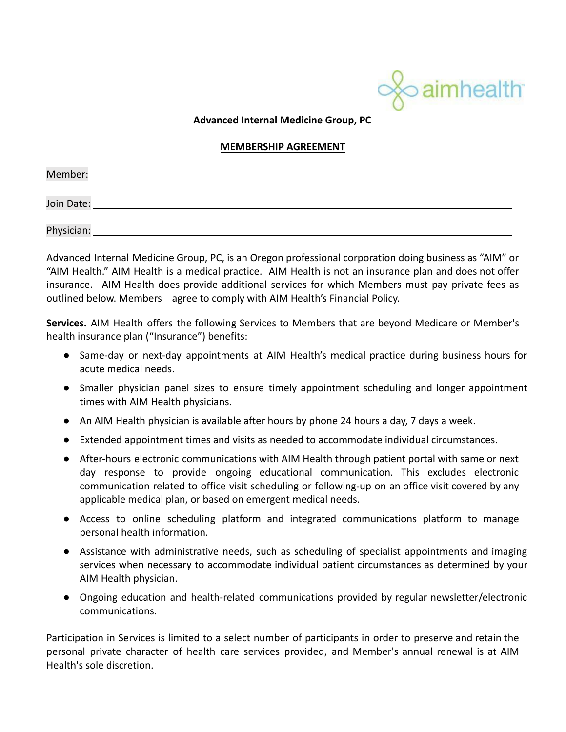

**Advanced Internal Medicine Group, PC**

## **MEMBERSHIP AGREEMENT**

| Member:    |  |
|------------|--|
|            |  |
| Join Date: |  |
|            |  |
| Physician: |  |

Advanced Internal Medicine Group, PC, is an Oregon professional corporation doing business as "AIM" or "AIM Health." AIM Health is a medical practice. AIM Health is not an insurance plan and does not offer insurance. AIM Health does provide additional services for which Members must pay private fees as outlined below. Members agree to comply with AIM Health's Financial Policy.

**Services.** AIM Health offers the following Services to Members that are beyond Medicare or Member's health insurance plan ("Insurance") benefits:

- Same-day or next-day appointments at AIM Health's medical practice during business hours for acute medical needs.
- Smaller physician panel sizes to ensure timely appointment scheduling and longer appointment times with AIM Health physicians.
- An AIM Health physician is available after hours by phone 24 hours a day, 7 days a week.
- Extended appointment times and visits as needed to accommodate individual circumstances.
- After-hours electronic communications with AIM Health through patient portal with same or next day response to provide ongoing educational communication. This excludes electronic communication related to office visit scheduling or following-up on an office visit covered by any applicable medical plan, or based on emergent medical needs.
- Access to online scheduling platform and integrated communications platform to manage personal health information.
- Assistance with administrative needs, such as scheduling of specialist appointments and imaging services when necessary to accommodate individual patient circumstances as determined by your AIM Health physician.
- Ongoing education and health-related communications provided by regular newsletter/electronic communications.

Participation in Services is limited to a select number of participants in order to preserve and retain the personal private character of health care services provided, and Member's annual renewal is at AIM Health's sole discretion.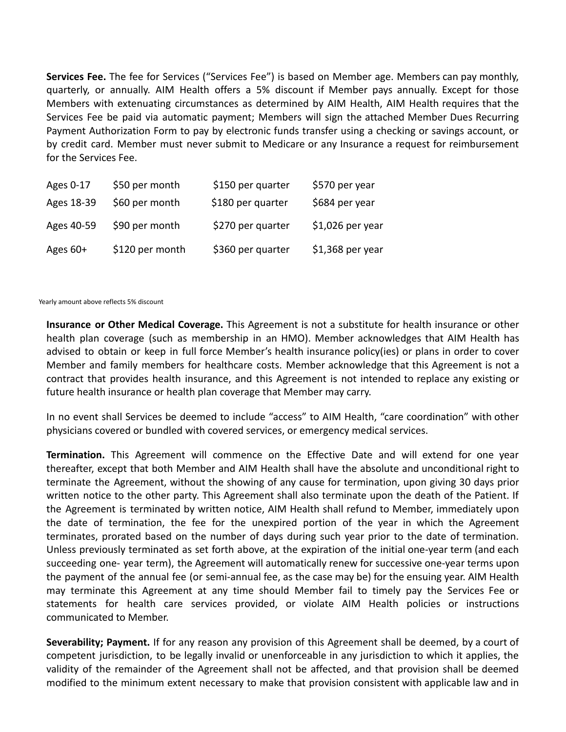**Services Fee.** The fee for Services ("Services Fee") is based on Member age. Members can pay monthly, quarterly, or annually. AIM Health offers a 5% discount if Member pays annually. Except for those Members with extenuating circumstances as determined by AIM Health, AIM Health requires that the Services Fee be paid via automatic payment; Members will sign the attached Member Dues Recurring Payment Authorization Form to pay by electronic funds transfer using a checking or savings account, or by credit card. Member must never submit to Medicare or any Insurance a request for reimbursement for the Services Fee.

| Ages 0-17  | \$50 per month  | \$150 per quarter | \$570 per year    |
|------------|-----------------|-------------------|-------------------|
| Ages 18-39 | \$60 per month  | \$180 per quarter | \$684 per year    |
| Ages 40-59 | \$90 per month  | \$270 per quarter | $$1,026$ per year |
| Ages $60+$ | \$120 per month | \$360 per quarter | $$1,368$ per year |

Yearly amount above reflects 5% discount

**Insurance or Other Medical Coverage.** This Agreement is not a substitute for health insurance or other health plan coverage (such as membership in an HMO). Member acknowledges that AIM Health has advised to obtain or keep in full force Member's health insurance policy(ies) or plans in order to cover Member and family members for healthcare costs. Member acknowledge that this Agreement is not a contract that provides health insurance, and this Agreement is not intended to replace any existing or future health insurance or health plan coverage that Member may carry.

In no event shall Services be deemed to include "access" to AIM Health, "care coordination" with other physicians covered or bundled with covered services, or emergency medical services.

**Termination.** This Agreement will commence on the Effective Date and will extend for one year thereafter, except that both Member and AIM Health shall have the absolute and unconditional right to terminate the Agreement, without the showing of any cause for termination, upon giving 30 days prior written notice to the other party. This Agreement shall also terminate upon the death of the Patient. If the Agreement is terminated by written notice, AIM Health shall refund to Member, immediately upon the date of termination, the fee for the unexpired portion of the year in which the Agreement terminates, prorated based on the number of days during such year prior to the date of termination. Unless previously terminated as set forth above, at the expiration of the initial one-year term (and each succeeding one- year term), the Agreement will automatically renew for successive one-year terms upon the payment of the annual fee (or semi-annual fee, as the case may be) for the ensuing year. AIM Health may terminate this Agreement at any time should Member fail to timely pay the Services Fee or statements for health care services provided, or violate AIM Health policies or instructions communicated to Member.

**Severability; Payment.** If for any reason any provision of this Agreement shall be deemed, by a court of competent jurisdiction, to be legally invalid or unenforceable in any jurisdiction to which it applies, the validity of the remainder of the Agreement shall not be affected, and that provision shall be deemed modified to the minimum extent necessary to make that provision consistent with applicable law and in